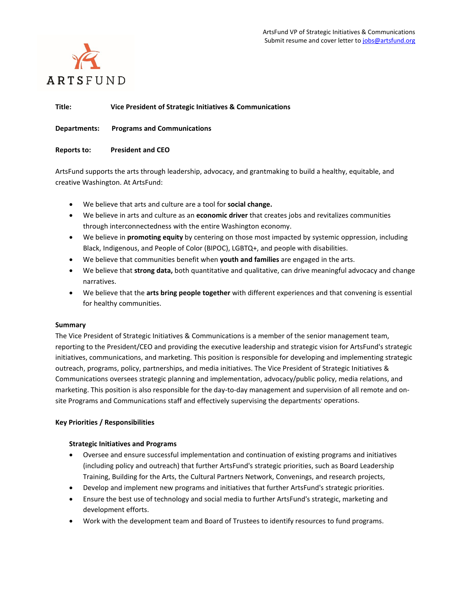

**Title: Vice President of Strategic Initiatives & Communications**

**Departments: Programs and Communications** 

## **Reports to: President and CEO**

ArtsFund supports the arts through leadership, advocacy, and grantmaking to build a healthy, equitable, and creative Washington. At ArtsFund:

- We believe that arts and culture are a tool for **social change.**
- We believe in arts and culture as an **economic driver** that creates jobs and revitalizes communities through interconnectedness with the entire Washington economy.
- We believe in **promoting equity** by centering on those most impacted by systemic oppression, including Black, Indigenous, and People of Color (BIPOC), LGBTQ+, and people with disabilities.
- We believe that communities benefit when **youth and families** are engaged in the arts.
- We believe that **strong data,** both quantitative and qualitative, can drive meaningful advocacy and change narratives.
- We believe that the **arts bring people together** with different experiences and that convening is essential for healthy communities.

### **Summary**

The Vice President of Strategic Initiatives & Communications is a member of the senior management team, reporting to the President/CEO and providing the executive leadership and strategic vision for ArtsFund's strategic initiatives, communications, and marketing. This position is responsible for developing and implementing strategic outreach, programs, policy, partnerships, and media initiatives. The Vice President of Strategic Initiatives & Communications oversees strategic planning and implementation, advocacy/public policy, media relations, and marketing. This position is also responsible for the day-to-day management and supervision of all remote and onsite Programs and Communications staff and effectively supervising the departments' operations.

# **Key Priorities / Responsibilities**

# **Strategic Initiatives and Programs**

- Oversee and ensure successful implementation and continuation of existing programs and initiatives (including policy and outreach) that further ArtsFund's strategic priorities, such as Board Leadership Training, Building for the Arts, the Cultural Partners Network, Convenings, and research projects,
- Develop and implement new programs and initiatives that further ArtsFund's strategic priorities.
- Ensure the best use of technology and social media to further ArtsFund's strategic, marketing and development efforts.
- Work with the development team and Board of Trustees to identify resources to fund programs.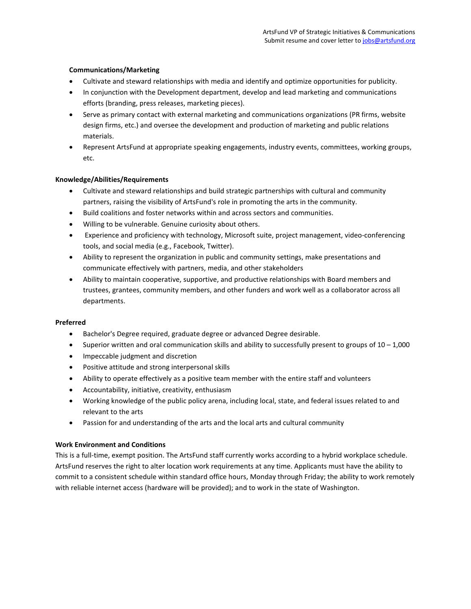# **Communications/Marketing**

- Cultivate and steward relationships with media and identify and optimize opportunities for publicity.
- In conjunction with the Development department, develop and lead marketing and communications efforts (branding, press releases, marketing pieces).
- Serve as primary contact with external marketing and communications organizations (PR firms, website design firms, etc.) and oversee the development and production of marketing and public relations materials.
- Represent ArtsFund at appropriate speaking engagements, industry events, committees, working groups, etc.

## **Knowledge/Abilities/Requirements**

- Cultivate and steward relationships and build strategic partnerships with cultural and community partners, raising the visibility of ArtsFund's role in promoting the arts in the community.
- Build coalitions and foster networks within and across sectors and communities.
- Willing to be vulnerable. Genuine curiosity about others.
- Experience and proficiency with technology, Microsoft suite, project management, video-conferencing tools, and social media (e.g., Facebook, Twitter).
- Ability to represent the organization in public and community settings, make presentations and communicate effectively with partners, media, and other stakeholders
- Ability to maintain cooperative, supportive, and productive relationships with Board members and trustees, grantees, community members, and other funders and work well as a collaborator across all departments.

### **Preferred**

- Bachelor's Degree required, graduate degree or advanced Degree desirable.
- Superior written and oral communication skills and ability to successfully present to groups of  $10 1,000$
- Impeccable judgment and discretion
- Positive attitude and strong interpersonal skills
- Ability to operate effectively as a positive team member with the entire staff and volunteers
- Accountability, initiative, creativity, enthusiasm
- Working knowledge of the public policy arena, including local, state, and federal issues related to and relevant to the arts
- Passion for and understanding of the arts and the local arts and cultural community

### **Work Environment and Conditions**

This is a full-time, exempt position. The ArtsFund staff currently works according to a hybrid workplace schedule. ArtsFund reserves the right to alter location work requirements at any time. Applicants must have the ability to commit to a consistent schedule within standard office hours, Monday through Friday; the ability to work remotely with reliable internet access (hardware will be provided); and to work in the state of Washington.